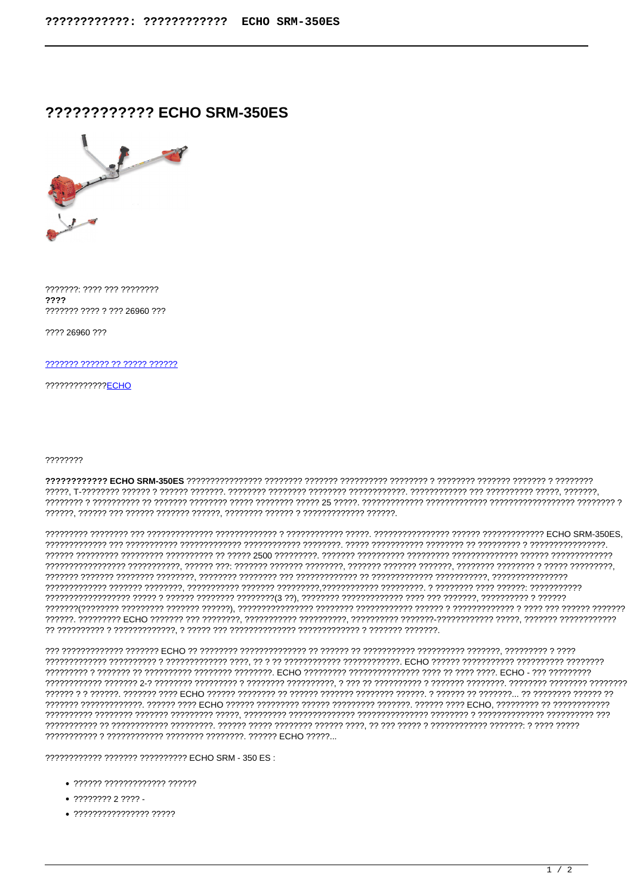## ???????????? ECHO SRM-350ES



???????: ???? ??? ????????  $2222$ ??????? ???? ? ??? 26960 ???

2222 26960 222

??????? ?????? ?? ????? ??????

?????????????<del>ECHO</del>

## 77777777

, המממממי הממממממי הממממי המממממי המממודד בממממי במממי 25 הממממי הממממי מממממי הממממי הממממי הממממי הממממי הממ 

???????????? ??????? ?????????? ECHO SRM - 350 ES :

- $\bullet$  222222 22222222222222222222
- 
- $\bullet$  ????????????????? ?????